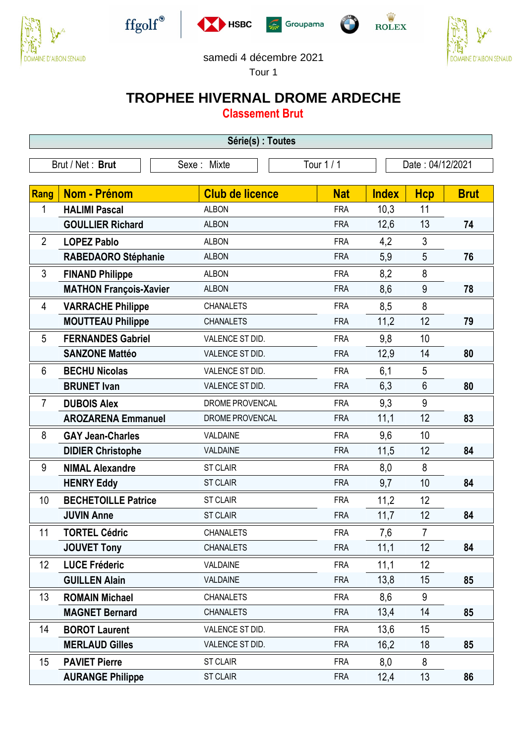











## samedi 4 décembre 2021

Tour 1

 $\sqrt{2}$ 

## **TROPHEE HIVERNAL DROME ARDECHE**

**Classement Brut**

| Série(s) : Toutes |                               |                        |            |              |                  |             |  |  |  |  |
|-------------------|-------------------------------|------------------------|------------|--------------|------------------|-------------|--|--|--|--|
| Brut / Net: Brut  |                               | Sexe: Mixte            | Tour 1 / 1 |              | Date: 04/12/2021 |             |  |  |  |  |
|                   |                               |                        |            |              |                  |             |  |  |  |  |
| <b>Rang</b>       | <b>Nom - Prénom</b>           | <b>Club de licence</b> | <b>Nat</b> | <b>Index</b> | <b>Hcp</b>       | <b>Brut</b> |  |  |  |  |
| 1                 | <b>HALIMI Pascal</b>          | <b>ALBON</b>           | <b>FRA</b> | 10,3         | 11               |             |  |  |  |  |
|                   | <b>GOULLIER Richard</b>       | <b>ALBON</b>           | <b>FRA</b> | 12,6         | 13               | 74          |  |  |  |  |
| $\overline{2}$    | <b>LOPEZ Pablo</b>            | <b>ALBON</b>           | <b>FRA</b> | 4,2          | 3                |             |  |  |  |  |
|                   | RABEDAORO Stéphanie           | <b>ALBON</b>           | <b>FRA</b> | 5,9          | 5                | 76          |  |  |  |  |
| 3                 | <b>FINAND Philippe</b>        | <b>ALBON</b>           | <b>FRA</b> | 8,2          | 8                |             |  |  |  |  |
|                   | <b>MATHON François-Xavier</b> | <b>ALBON</b>           | <b>FRA</b> | 8,6          | 9                | 78          |  |  |  |  |
| 4                 | <b>VARRACHE Philippe</b>      | <b>CHANALETS</b>       | <b>FRA</b> | 8,5          | 8                |             |  |  |  |  |
|                   | <b>MOUTTEAU Philippe</b>      | <b>CHANALETS</b>       | <b>FRA</b> | 11,2         | 12               | 79          |  |  |  |  |
| 5                 | <b>FERNANDES Gabriel</b>      | VALENCE ST DID.        | <b>FRA</b> | 9,8          | 10               |             |  |  |  |  |
|                   | <b>SANZONE Mattéo</b>         | VALENCE ST DID.        | <b>FRA</b> | 12,9         | 14               | 80          |  |  |  |  |
| 6                 | <b>BECHU Nicolas</b>          | VALENCE ST DID.        | <b>FRA</b> | 6,1          | 5                |             |  |  |  |  |
|                   | <b>BRUNET Ivan</b>            | VALENCE ST DID.        | <b>FRA</b> | 6,3          | 6                | 80          |  |  |  |  |
| $\overline{7}$    | <b>DUBOIS Alex</b>            | DROME PROVENCAL        | <b>FRA</b> | 9,3          | 9                |             |  |  |  |  |
|                   | <b>AROZARENA Emmanuel</b>     | DROME PROVENCAL        | <b>FRA</b> | 11,1         | 12               | 83          |  |  |  |  |
| 8                 | <b>GAY Jean-Charles</b>       | VALDAINE               | <b>FRA</b> | 9,6          | 10               |             |  |  |  |  |
|                   | <b>DIDIER Christophe</b>      | VALDAINE               | <b>FRA</b> | 11,5         | 12               | 84          |  |  |  |  |
| 9                 | <b>NIMAL Alexandre</b>        | <b>ST CLAIR</b>        | <b>FRA</b> | 8,0          | 8                |             |  |  |  |  |
|                   | <b>HENRY Eddy</b>             | <b>ST CLAIR</b>        | <b>FRA</b> | 9,7          | 10               | 84          |  |  |  |  |
| 10                | <b>BECHETOILLE Patrice</b>    | <b>ST CLAIR</b>        | <b>FRA</b> | 11,2         | 12               |             |  |  |  |  |
|                   | <b>JUVIN Anne</b>             | <b>ST CLAIR</b>        | <b>FRA</b> | 11,7         | 12               | 84          |  |  |  |  |
| 11                | <b>TORTEL Cédric</b>          | <b>CHANALETS</b>       | <b>FRA</b> | 7,6          | $\overline{7}$   |             |  |  |  |  |
|                   | <b>JOUVET Tony</b>            | <b>CHANALETS</b>       | <b>FRA</b> | 11,1         | 12               | 84          |  |  |  |  |
| 12                | <b>LUCE Fréderic</b>          | VALDAINE               | <b>FRA</b> | 11,1         | 12               |             |  |  |  |  |
|                   | <b>GUILLEN Alain</b>          | VALDAINE               | <b>FRA</b> | 13,8         | 15               | 85          |  |  |  |  |
| 13                | <b>ROMAIN Michael</b>         | <b>CHANALETS</b>       | <b>FRA</b> | 8,6          | 9                |             |  |  |  |  |
|                   | <b>MAGNET Bernard</b>         | <b>CHANALETS</b>       | <b>FRA</b> | 13,4         | 14               | 85          |  |  |  |  |
| 14                | <b>BOROT Laurent</b>          | VALENCE ST DID.        | <b>FRA</b> | 13,6         | 15               |             |  |  |  |  |
|                   | <b>MERLAUD Gilles</b>         | VALENCE ST DID.        | <b>FRA</b> | 16,2         | 18               | 85          |  |  |  |  |
| 15                | <b>PAVIET Pierre</b>          | <b>ST CLAIR</b>        | <b>FRA</b> | 8,0          | 8                |             |  |  |  |  |
|                   | <b>AURANGE Philippe</b>       | <b>ST CLAIR</b>        | <b>FRA</b> | 12,4         | 13               | 86          |  |  |  |  |